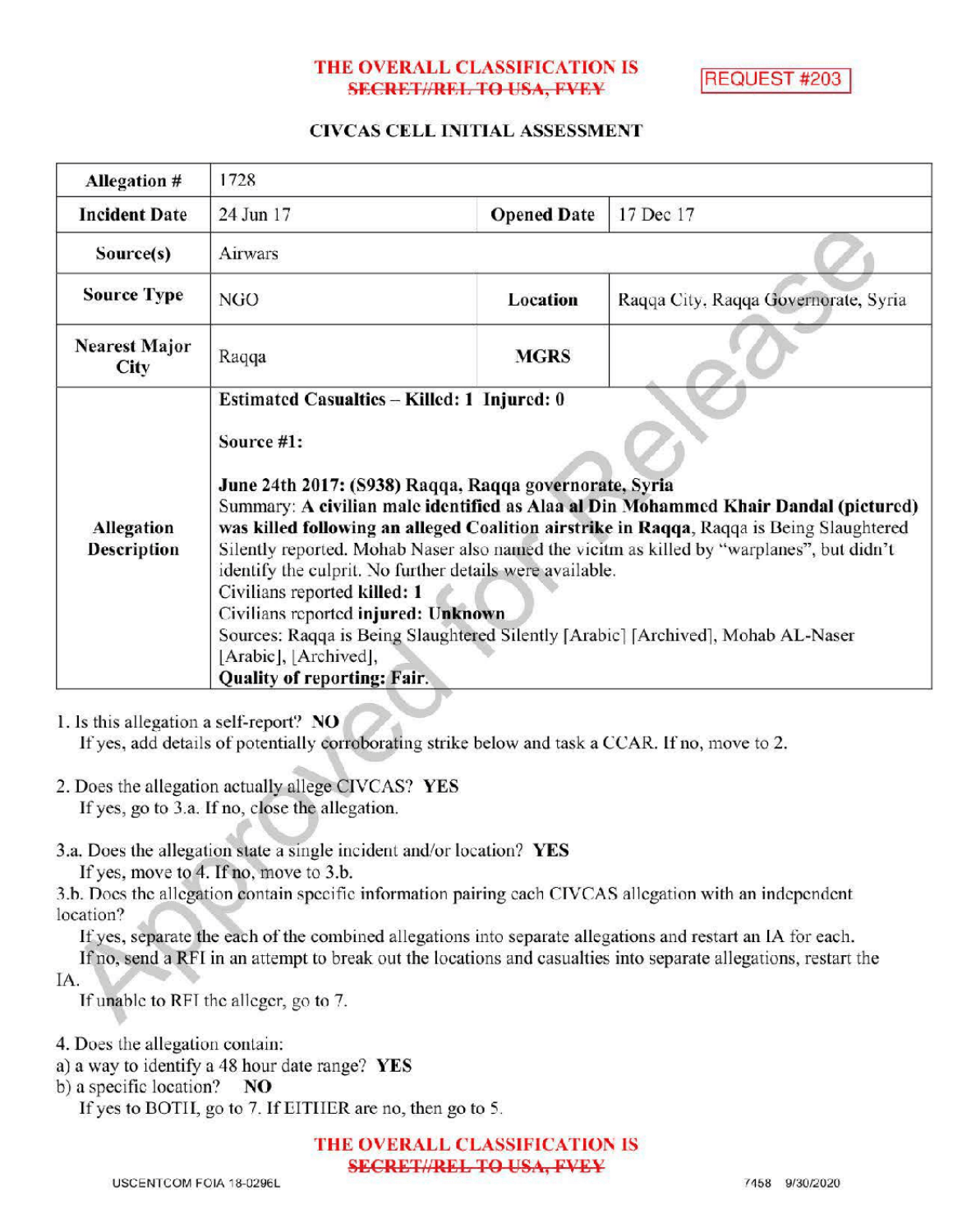## THE OVERALL CLASSIFICATION IS **SECRET//REL TO USA, FVEY**

REQUEST #203

## CIVCAS CELL INITIAL ASSESSMENT

| <b>Allegation #</b>              | 1728                                                                                                                                                                                                                                                                                                                                                                                                                                                                                                                                                                                                                                                                                      |                    |                                      |
|----------------------------------|-------------------------------------------------------------------------------------------------------------------------------------------------------------------------------------------------------------------------------------------------------------------------------------------------------------------------------------------------------------------------------------------------------------------------------------------------------------------------------------------------------------------------------------------------------------------------------------------------------------------------------------------------------------------------------------------|--------------------|--------------------------------------|
| <b>Incident Date</b>             | 24 Jun 17                                                                                                                                                                                                                                                                                                                                                                                                                                                                                                                                                                                                                                                                                 | <b>Opened Date</b> | 17 Dec 17                            |
| Source(s)                        | Airwars                                                                                                                                                                                                                                                                                                                                                                                                                                                                                                                                                                                                                                                                                   |                    |                                      |
| <b>Source Type</b>               | NGO                                                                                                                                                                                                                                                                                                                                                                                                                                                                                                                                                                                                                                                                                       | Location           | Raqqa City, Raqqa Governorate, Syria |
| <b>Nearest Major</b><br>City     | Raqqa                                                                                                                                                                                                                                                                                                                                                                                                                                                                                                                                                                                                                                                                                     | <b>MGRS</b>        |                                      |
| Allegation<br><b>Description</b> | Estimated Casualties - Killed: 1 Injured: 0<br>Source #1:<br>June 24th 2017: (S938) Raqqa, Raqqa governorate, Syria<br>Summary: A civilian male identified as Alaa al Din Mohammed Khair Dandal (pictured)<br>was killed following an alleged Coalition airstrike in Raqqa, Raqqa is Being Slaughtered<br>Silently reported. Mohab Naser also named the vicitm as killed by "warplanes", but didn't<br>identify the culprit. No further details were available.<br>Civilians reported killed: 1<br>Civilians reported injured: Unknown<br>Sources: Raqqa is Being Slaughtered Silently [Arabic] [Archived], Mohab AL-Naser<br>[Arabic], [Archived],<br><b>Quality of reporting: Fair.</b> |                    |                                      |

1. Is this allegation a self-report? NO

If yes, add details of potentially corroborating strike below and task a CCAR. If no, move to 2.

- 2. Does the allegation actually allege CIVCAS? YES If yes, go to 3.a. If no, close the allegation.
- 3.a. Does the allegation state a single incident and/or location? YES

If yes, move to 4. If no, move to  $3.b$ .

3.b. Does the allegation contain specific information pairing each CIVCAS allegation with an independent location?

Ifyes, separate the each of the combined allegations into separate allegations and restart an IA for each. Ifno, send <sup>a</sup> RFI in an attempt to break out the locations and casualties into separate allegations, restart the

IA

If unable to RFI the alleger, go to 7.

4. Does the allegation contain:

a) <sup>a</sup> way to identify <sup>a</sup> 48 hour date range? YES

b) a specific location?  $NO$ 

If yes to BOTH, go to 7. If EITHER are no, then go to 5.

THE OVERALL CLASSIFICATION IS **SECRET//REL TO USA, FVEY**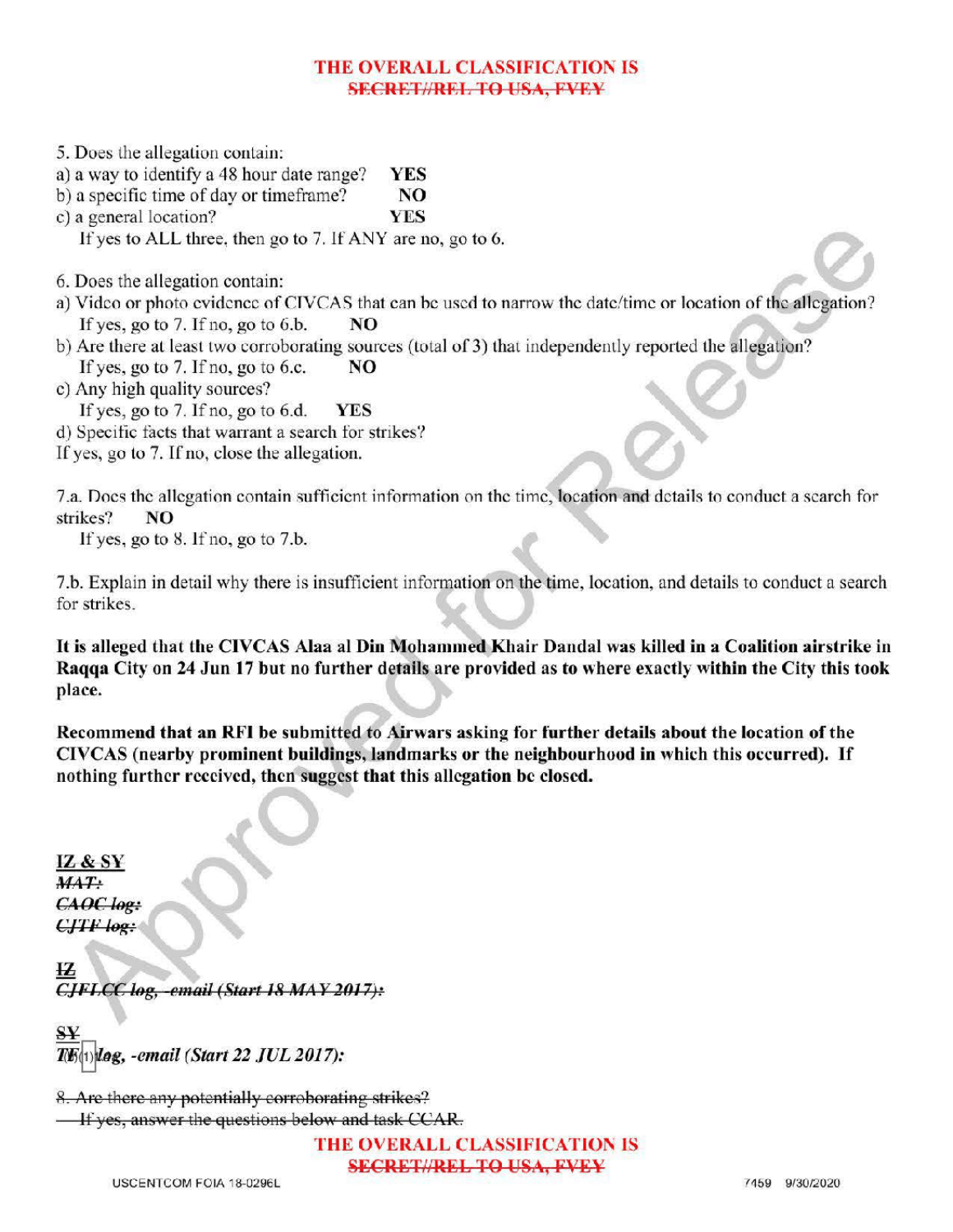## THE OVERALL CLASSIFICATION IS **SECRET//REL TO USA, PVEY**

- 5. Does the allegation contain:
- a) a way to identify a 48 hour date range? YES
- b) a specific time of day or timeframe?  $NQ$ <br>c) a general location?  $YES$
- c) a general location?

If yes to ALL three, then go to 7. If ANY are no, go to 6.

6. Does the allegation contain:

- a) Video or photo evidence of CIVCAS that can be used to narrow the date/ time or location of the allegation? If yes, go to 7. If no, go to 6.b.  $\qquad \text{NO}$
- b) Are there at least two corroborating sources (total of 3) that independently reported the allegation? If yes, go to 7. If no, go to 6.c.  $\blacksquare$  NO
- c) Any high quality sources?
	- If yes, go to 7. If no, go to 6.d.  $YES$
- d) Specific facts that warrant a search for strikes?
- If yes, go to 7. If no, close the allegation.

7.a. Does the allegation contain sufficient information on the time, location and details to conduct a search for strikes? NO

If yes, go to  $8$ . If no, go to  $7.b$ .

7.b. Explain in detail why there is insufficient information on the time, location, and details to conduct a search for strikes

It is alleged that the CIVCAS Alaa al Din Mohammed Khair Dandal was killed in a Coalition airstrike in Raqqa City on 24 Jun 17 but no further details are provided as to where exactly within the City this took place.

Recommend that an RFI be submitted to Airwars asking for further details about the location of the CIVCAS (nearby prominent buildings , landmarks or the neighbourhood in which this occurred). If nothing further received, then suggest that this allegation be closed.

IZ & <sup>S</sup>  $MAT:$ CAOC log:  $CJTF$  log:

ŁZ  $CJFLCC$  log, -email (Start 18 MAY 2017):

-email( Start 22 JUL 2017): :

8. Are there any potentially corroborating strikes? If yes, answer the questions below and task CCAR.

> THE OVERALL CLASSIFICATIONIS **SECRET//REL TO USA, FVEY**